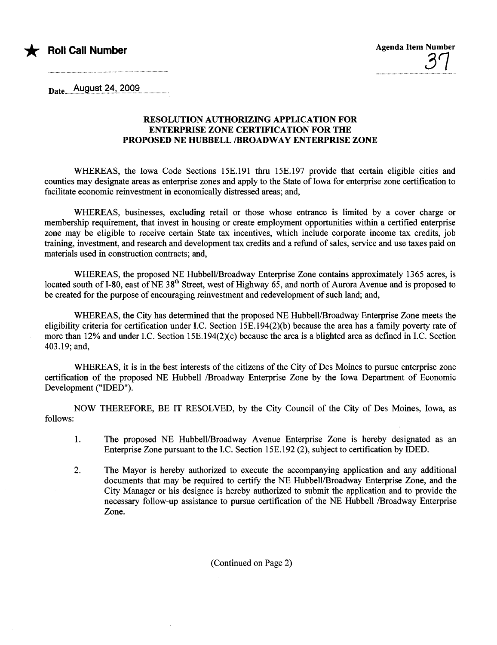

 $_{\text{Date}}$  August 24, 2009

#### RESOLUTION AUTHORIZING APPLICATION FOR ENTERPRISE ZONE CERTIFICATION FOR TH PROPOSED NE HUBELL /BROADWAY ENTERPRISE ZONE

WHEREAS, the Iowa Code Sections 15E.191 thru 15E.197 provide that certain eligible cities and counties may designate areas as enterprise zones and apply to the State of Iowa for enterprise zone certification to faciltate economic reinvestment in economically distressed areas; and,

WHREAS, businesses, excluding retail or those whose entrance is limited by a cover charge or membership requirement, that invest in housing or create employment opportunities within a certified enterprise zone may be eligible to receive certain State tax incentives, which include corporate income tax credits, job training, investment, and research and development tax credits and a refud of sales, service and use taxes paid on materials used in construction contracts; and,

WHEREAS, the proposed NE Hubbell/Broadway Enterprise Zone contains approximately 1365 acres, is located south of I-80, east of NE 38<sup>th</sup> Street, west of Highway 65, and north of Aurora Avenue and is proposed to be created for the purpose of encouraging reinvestment and redevelopment of such land; and,

WHEREAS, the City has determined that the proposed NE Hubbell/Broadway Enterprise Zone meets the eligibility criteria for certification under I.C. Section  $15E.194(2)(b)$  because the area has a family poverty rate of more than 12% and under I.C. Section 15E.194(2)(e) because the area is a blighted area as defined in I.C. Section 403.19; and,

WHREAS, it is in the best interests of the citizens of the City of Des Moines to pursue enterprise zone certification of the proposed NE Hubbell /Broadway Enterprise Zone by the Iowa Deparent of Economic Development ("IDED").

NOW THEREFORE, BE IT RESOLVED, by the City Council of the City of Des Moines, Iowa, as follows:

- 1. The proposed NE Hubbell/Broadway Avenue Enterprise Zone is hereby designated as an Enterprise Zone pursuant to the I.C. Section 15E.192 (2), subject to certification by IDED.
- 2. The Mayor is hereby authorized to execute the accompanying application and any additional documents that may be required to certify the NE Hubbell/Broadway Enterprise Zone, and the City Manager or his designee is hereby authorized to submit the application and to provide the necessary follow-up assistance to pursue certification of the NE Hubbell /Broadway Enterprise Zone.

(Continued on Page 2)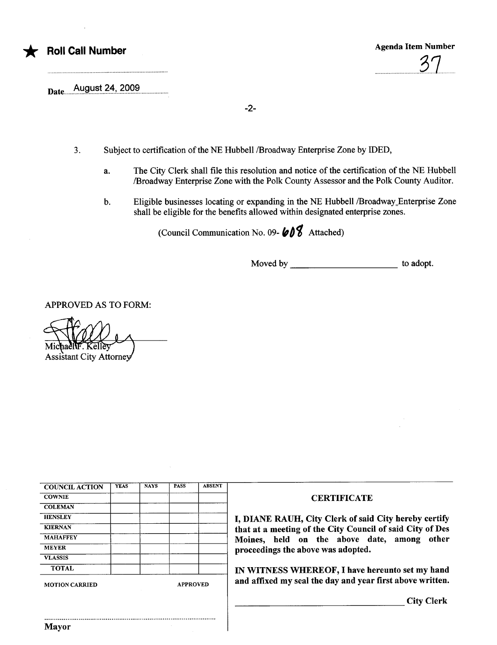

\* Roll Call Number Agenda Item Number Agenda Item Number ..................................8..1.......

August 24, 2009 Date....................................................................................

-2-

- 3. Subject to certification of the NE Hubbell /Broadway Enterprise Zone by IDED,
	- a. The City Clerk shall file this resolution and notice of the certification of the NE Hubbell /Broadway Enterprise Zone with the Polk County Assessor and the Polk County Auditor.
	- b. Eligible businesses locating or expanding in the NE Hubbell /Broadway\_Enterprise Zone shall be eligible for the benefits allowed within designated enterprise zones.

(Council Communication No. 09- $\mathbf{\&}0\mathbf{\&}$  Attached)

Moved by to adopt.

APPROVED AS TO FORM:

**Assistant City Attorney** 

| <b>COUNCIL ACTION</b> | <b>YEAS</b> | <b>NAYS</b>     | <b>PASS</b> | <b>ABSENT</b> |                        |
|-----------------------|-------------|-----------------|-------------|---------------|------------------------|
| <b>COWNIE</b>         |             |                 |             |               |                        |
| <b>COLEMAN</b>        |             |                 |             |               |                        |
| <b>HENSLEY</b>        |             |                 |             |               | I, DIANE RAUH, Ci      |
| <b>KIERNAN</b>        |             |                 |             |               | that at a meeting of t |
| <b>MAHAFFEY</b>       |             |                 |             |               | Moines, held<br>on     |
| <b>MEYER</b>          |             |                 |             |               | proceedings the abov   |
| <b>VLASSIS</b>        |             |                 |             |               |                        |
| <b>TOTAL</b>          |             |                 |             |               | IN WITNESS WHER        |
| <b>MOTION CARRIED</b> |             | <b>APPROVED</b> |             |               | and affixed my seal th |

..........................................................................................

Mayor

#### **CERTIFICATE**

ty Clerk of said City hereby certify the City Council of said City of Des the above date, among other e was adopted.

REOF, I have hereunto set my hand he day and year first above written.

City Clerk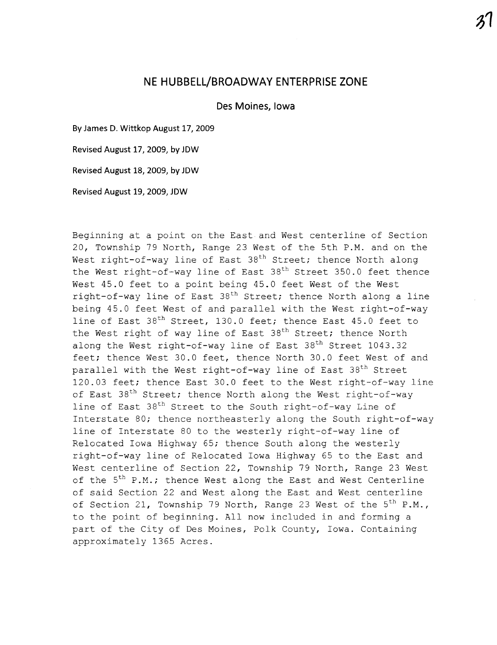## NE HUBBELL/BROADWAY ENTERPRISE ZONE

Des Moines, Iowa

By James D. Wittkop August 17, 2009

Revised August 17, 2009, by JDW

Revised August 18, 2009, by JDW

Revised August 19, 2009, JDW

Beginning at a point on the East and West centerline of Section 20, Township 79 North, Range 23 West of the 5th P.M. and on the West right-of-way line of East 38<sup>th</sup> Street; thence North along the West right-of-way line of East  $38<sup>th</sup>$  Street 350.0 feet thence West 45.0 feet to a point being 45.0 feet West of the West right-of-way line of East  $38<sup>th</sup>$  Street; thence North along a line being 45.0 feet West of and parallel with the West right-of-way line of East 38<sup>th</sup> Street, 130.0 feet; thence East 45.0 feet to the West right of way line of East 38<sup>th</sup> Street; thence North along the West right-of-way line of East 38<sup>th</sup> Street 1043.32 feet; thence West 30.0 feet, thence North 30.0 feet West of and parallel with the West right-of-way line of East 38<sup>th</sup> Street 120.03 feet; thence East 30.0 feet to the West right-of-way line of East 38<sup>th</sup> Street; thence North along the West right-of-way line of East 38<sup>th</sup> Street to the South right-of-way Line of Interstate SO; thence northeasterly along the South right-of-way line of Interstate 80 to the westerly right-of-way line of Relocated Iowa Highway 65; thence South along the westerly right-of-way line of Relocated Iowa Highway 65 to the East and West centerline of Section 22, Township 79 North, Range 23 West of the  $5<sup>th</sup>$  P.M.; thence West along the East and West Centerline of said Section 22 and West along the East and West centerline of Section 21, Township 79 North, Range 23 West of the  $5<sup>th</sup>$  P.M., to the point of beginning. All now included in and forming a part of the City of Des Moines, Polk County, Iowa. Containing approximately 1365 Acres.

 $3^{\prime}$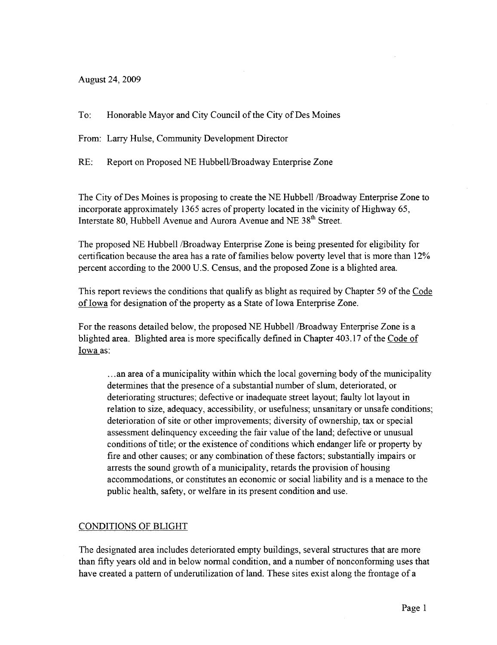August 24, 2009

To: Honorable Mayor and City Council of the City of Des Moines

From: Larry Hulse, Community Development Director

RE: Report on Proposed NE Hubbell/Broadway Enterprise Zone

The City of Des Moines is proposing to create the NE Hubbell /Broadway Enterprise Zone to incorporate approximately 1365 acres of property located in the vicinity of Highway 65, Interstate 80, Hubbell Avenue and Aurora Avenue and NE 38<sup>th</sup> Street.

The proposed NE Hubbell /Broadway Enterprise Zone is being presented for eligibility for certification because the area has a rate of families below poverty level that is more than  $12\%$ percent according to the 2000 U.S. Census, and the proposed Zone is a blighted area.

This report reviews the conditions that qualify as blight as required by Chapter 59 of the Code of Iowa for designation of the property as a State of Iowa Enterprise Zone.

For the reasons detailed below, the proposed NE Hubbell /Broadway Enterprise Zone is a blighted area. Blighted area is more specifically defined in Chapter 403.17 of the Code of Iowa as:

...an area of a municipality within which the local governing body of the municipality determines that the presence of a substantial number of slum, deteriorated, or deteriorating structures; defective or inadequate street layout; faulty lot layout in relation to size, adequacy, accessibility, or usefulness; unsanitary or unsafe conditions; deterioration of site or other improvements; diversity of ownership, tax or special assessment delinquency exceeding the fair value of the land; defective or unusual conditions of title; or the existence of conditions which endanger life or property by fire and other causes; or any combination of these factors; substantially impairs or arrests the sound growth of a municipality, retards the provision of housing accommodations, or constitutes an economic or social liability and is a menace to the public health, safety, or welfare in its present condition and use.

### CONDITIONS OF BLIGHT

The designated area includes deteriorated empty buildings, several structures that are more than fifty years old and in below normal condition, and a number of nonconfonning uses that have created a pattern of underutilization of land. These sites exist along the frontage of a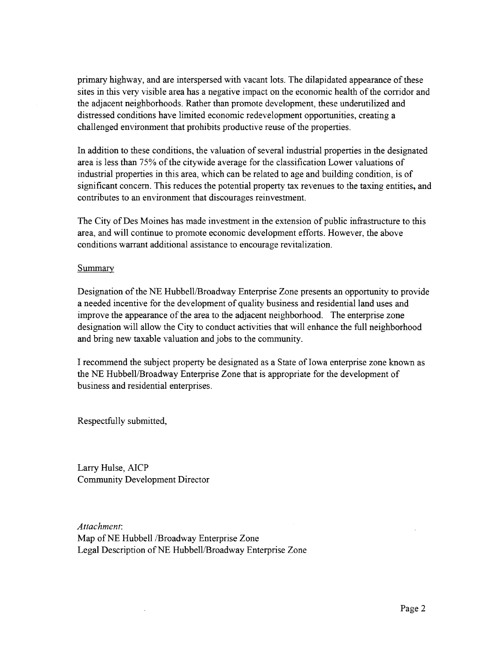primary highway, and are interspersed with vacant lots. The dilapidated appearance of these sites in this very visible area has a negative impact on the economic health of the corrdor and the adjacent neighborhoods. Rather than promote development, these underutilized and distressed conditions have limited economic redevelopment opportunities, creating a challenged environment that prohibits productive reuse of the properties.

In addition to these conditions, the valuation of several industral propertes in the designated area is less than 75% of the citywide average for the classification Lower valuations of industrial properties in this area, which can be related to age and building condition, is of significant concern. This reduces the potential property tax revenues to the taxing entities, and contributes to an environment that discourages reinvestment.

The City of Des Moines has made investment in the extension of public infrastructure to this area, and will continue to promote economic development efforts. However, the above conditions warant additional assistance to encourage revitalization.

#### **Summary**

Designation of the NE Hubbell/Broadway Enterprise Zone presents an opportunity to provide a needed incentive for the development of quality business and residential land uses and improve the appearance of the area to the adjacent neighborhood. The enterprise zone designation will allow the City to conduct activities that will enhance the full neighborhood and bring new taxable valuation and jobs to the community.

I recommend the subject property be designated as a State of Iowa enterprise zone known as the NE Hubbell/Broadway Enterprise Zone that is appropriate for the development of business and residential enterprises.

Respectfully submitted,

Larry Hulse, AICP Community Development Director

Attachment: Map of NE Hubbell /Broadway Enterprise Zone Legal Description of NE Hubbell/Broadway Enterprise Zone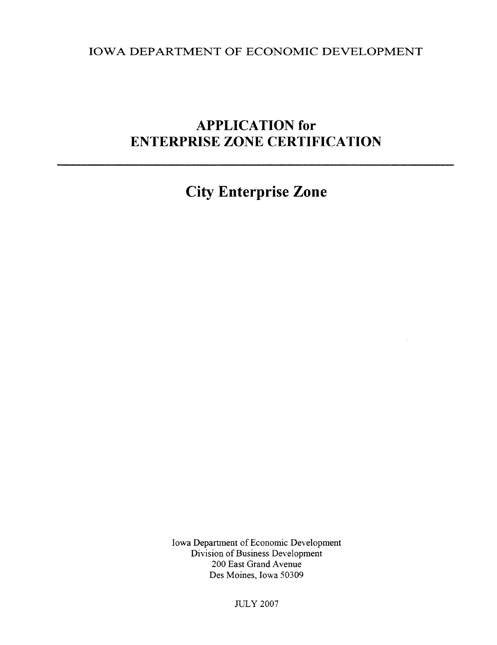# IOWA DEPARTMENT OF ECONOMIC DEVELOPMENT

# APPLICATION for ENTERPRISE ZONE CERTIFICATION

City Enterprise Zone

Iowa Department of Economic Development Division of Business Development 200 East Grand Avenue Des Moines, Iowa 50309

**JULY 2007**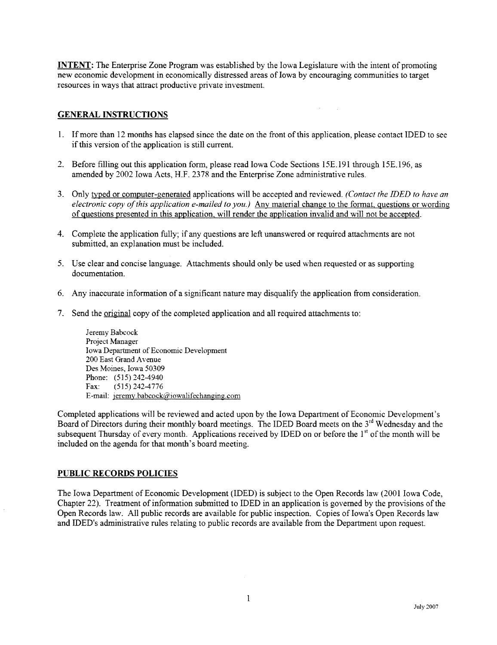**INTENT:** The Enterprise Zone Program was established by the Iowa Legislature with the intent of promoting new economic development in economically distressed areas of Iowa by encouraging communities to target resources in ways that attract productive private investment.

#### **GENERAL INSTRUCTIONS**

- 1. If more than 12 months has elapsed since the date on the front of this application, please contact IDED to see if this version of the application is still current.
- 2. Before filling out this application form, please read Iowa Code Sections 15E.191 through 15E.196, as amended by 2002 Iowa Acts, H.F. 2378 and the Enterprise Zone administrative rules.
- 3. Only typed or computer-generated applications will be accepted and reviewed. (Contact the IDED to have an electronic copy of this application e-mailed to you.) Any material change to the format, questions or wording of questions presented in this application, will render the application invalid and wil not be accepted.
- 4. Complete the application fully; if any questions are left unanswered or required attachments are not submitted, an explanation must be included.
- 5. Use clear and concise language. Attachments should only be used when requested or as supporting documentation.
- 6. Any inaccurate information of a significat natue may disqualify the application from consideration.
- 7. Send the original copy of the completed application and all required attachments to:

Jeremy Babcock Project Manager Iowa Department of Economic Development 200 East Grand Avenue Des Moines, Iowa 50309 Phone: (515) 242-4940 Fax: (515) 242-4776 E-mail: jeremy.babcock@iowalifechanging.com

Completed applications will be reviewed and acted upon by the Iowa Department of Economic Development's Board of Directors during their monthly board meetings. The IDED Board meets on the 3td Wednesday and the subsequent Thursday of every month. Applications received by IDED on or before the l<sup>st</sup> of the month will be included on the agenda for that month's board meeting.

#### PUBLIC RECORDS POLICIES

The Iowa Department of Economic Development (IDED) is subject to the Open Records law (2001 Iowa Code, Chapter 22). Treatment of information submitted to IDED in an application is governed by the provisions of the Open Records law. All public records are available for public inspection. Copies of Iowa's Open Records law and IDED's administrative rules relating to public records are available from the Department upon request.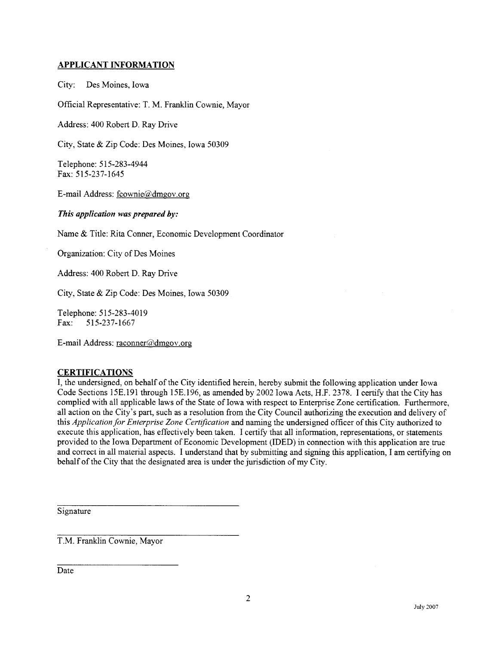#### APPLICANT INFORMATION

City: Des Moines, Iowa

Official Representative: T. M. Franklin Cownie, Mayor

Address: 400 Robert D. Ray Drive

City, State & Zip Code: Des Moines, Iowa 50309

Telephone: 515-283-4944 Fax: 515-237-1645

E-mail Address: fcownie@dmgov.org

This application was prepared by:

Name & Title: Rita Conner, Economic Development Coordinator

Organization: City of Des Moines

Address: 400 Robert D. Ray Drive

City, State & Zip Code: Des Moines, Iowa 50309

Telephone: 515-283-4019 Fax: 515-237-1667

E-mail Address: raconner@dmgov.org

#### **CERTIFICATIONS**

I, the undersigned, on behalf of the City identified herein, hereby submit the following application under Iowa Code Sections 15E.191 through 15E.196, as amended by 2002 Iowa Acts, H.F. 2378. I certify that the City has complied with all applicable laws of the State of Iowa with respect to Enterprise Zone certification. Furthermore, all action on the City's par, such as a resolution from the City Council authorizing the execution and delivery of this Application for Enterprise Zone Certification and naming the undersigned officer of this City authorized to execute this application, has effectively been taen. I certify that all information, representations, or statements provided to the Iowa Department of Economic Development (IDED) in connection with this application are tre and correct in all material aspects. I understand that by submitting and signing this application, I am certfying on behalf of the City that the designated area is under the jursdiction of my City.

Signature

T.M. Franklin Cownie, Mayor

Date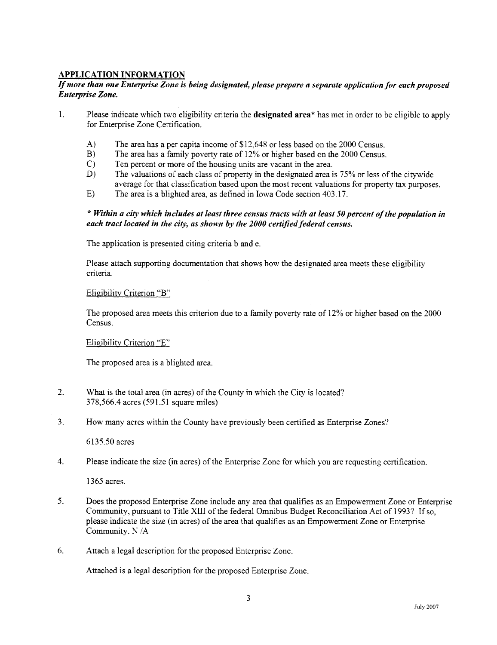#### APPLICATION INFORMATION

#### If more than one Enterprise Zone is heing designated, please prepare a separate application for each proposed Enterprise Zone.

- 1. Please indicate which two eligibility criteria the designated area\* has met in order to be eligible to apply for Enterprise Zone Certification.
	- A) The area has a per capita income of \$12,648 or less based on the 2000 Census.
	- B) The area has a family poverty rate of 12% or higher based on the 2000 Census.
	- C) Ten percent or more of the housing units are vacant in the area.
	- D) The valuations of each class of property in the designated area is  $75\%$  or less of the citywide average for that classification based upon the most recent valuations for property tax purposes.
	- E) The area is a blighted area, as defined in Iowa Code section 403.17.

#### \* Within a city which includes at least three census tracts with at least 50 percent of the population in each tract located in the city, as shown by the 2000 certifed federal census.

The application is presented citing criteria b and e.

Please attach supporting documentation that shows how the designated area meets these eligibility criteria.

#### Eligibility Criterion "B"

The proposed area meets this criterion due to a family poverty rate of 12% or higher based on the 2000 Census.

#### Eligibility Criterion "E"

The proposed area is a blighted area.

- 2. What is the total area (in acres) of the County in which the City is located? 378,566.4 acres (591.51 square miles)
- 3. How many acres within the County have previously been certified as Enterprise Zones?

6135.50 acres

4. Please indicate the size (in acres) of the Enterprise Zone for which you are requesting certification.

1365 acres.

- 5. Does the proposed Enterprise Zone include any area that qualifies as an Empowerment Zone or Enterprise Community, pursuant to Title XII of the federal Omnibus Budget Reconciliation Act of 1993? If so, please indicate the size (in acres) of the area that qualifies as an Empowerment Zone or Enterprise Community. N/A
- 6. Attach a legal description for the proposed Enterprise Zone.

Attached is a legal description for the proposed Enterprise Zone.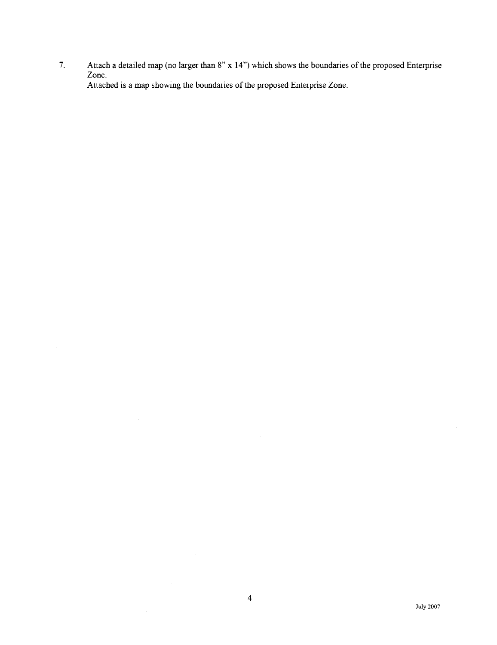7. Attach a detailed map (no larger than  $8" \times 14"$ ) which shows the boundaries of the proposed Enterprise Zone. Attached is a map showing the boundaries of the proposed Enterprise Zone.